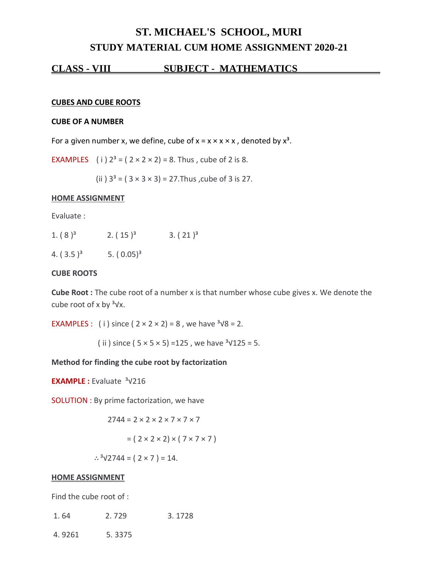# **ST. MICHAEL'S SCHOOL, MURI STUDY MATERIAL CUM HOME ASSIGNMENT 2020-21**

### **CLASS - VIII SUBJECT - MATHEMATICS .**

#### **CUBES AND CUBE ROOTS**

#### **CUBE OF A NUMBER**

For a given number x, we define, cube of  $x = x \times x \times x$ , denoted by  $x^3$ .

**EXAMPLES** (i)  $2^3 = (2 \times 2 \times 2) = 8$ . Thus, cube of 2 is 8.

(ii)  $3^3 = (3 \times 3 \times 3) = 27$ . Thus, cube of 3 is 27.

#### **HOME ASSIGNMENT**

Evaluate :

| 1. $(8)^3$   | 2. $(15)^3$   | $3. (21)^3$ |
|--------------|---------------|-------------|
| 4. $(3.5)^3$ | 5. $(0.05)^3$ |             |

#### **CUBE ROOTS**

**Cube Root :** The cube root of a number x is that number whose cube gives x. We denote the cube root of x by  $3\sqrt{x}$ .

EXAMPLES : (i) since  $(2 \times 2 \times 2) = 8$ , we have  $\frac{3}{8} = 2$ .

( ii ) since (  $5 \times 5 \times 5$ ) =125, we have  $3\sqrt{125} = 5$ .

### **Method for finding the cube root by factorization**

**EXAMPLE :** Evaluate <sup>3</sup>√216

SOLUTION : By prime factorization, we have

$$
2744 = 2 \times 2 \times 2 \times 7 \times 7 \times 7
$$

$$
= (2 \times 2 \times 2) \times (7 \times 7 \times 7)
$$

∴ $3\sqrt{2744} = (2 \times 7) = 14$ .

#### **HOME ASSIGNMENT**

Find the cube root of :

| 1.64   | 2.729  | 3.1728 |
|--------|--------|--------|
| 4.9261 | 5.3375 |        |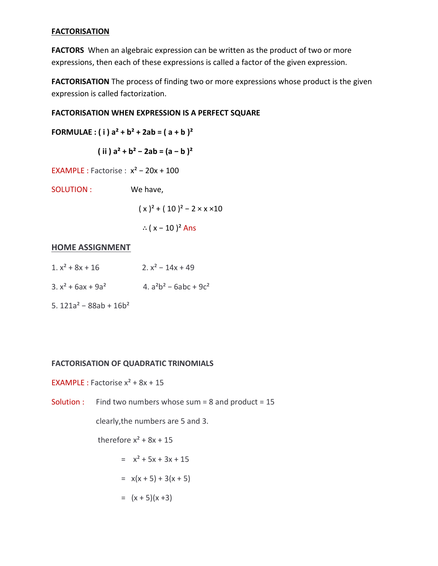### **FACTORISATION**

**FACTORS** When an algebraic expression can be written as the product of two or more expressions, then each of these expressions is called a factor of the given expression.

**FACTORISATION** The process of finding two or more expressions whose product is the given expression is called factorization.

### **FACTORISATION WHEN EXPRESSION IS A PERFECT SQUARE**

**FORMULAE : ( i )**  $a^2 + b^2 + 2ab = (a + b)^2$ 

 $(iii)$   $a^2 + b^2 - 2ab = (a - b)^2$ 

EXAMPLE : Factorise : x² − 20x + 100

SOLUTION : We have,

 $(x)^{2} + (10)^{2} - 2 \times x \times 10$ 

∴ ( $x - 10$ )<sup>2</sup> Ans

# **HOME ASSIGNMENT**

- 1.  $x^2$  + 8x + 16 2.  $x^2$  14x + 49
- 3.  $x^2$  + 6ax + 9a<sup>2</sup> 4. a<sup>2</sup>b<sup>2</sup> 6abc + 9c<sup>2</sup>
- 5. 121a² − 88ab + 16b²

### **FACTORISATION OF QUADRATIC TRINOMIALS**

EXAMPLE : Factorise  $x^2 + 8x + 15$ 

Solution : Find two numbers whose sum = 8 and product = 15

clearly,the numbers are 5 and 3.

therefore  $x^2$  + 8x + 15

$$
= x^2 + 5x + 3x + 15
$$

$$
= x(x + 5) + 3(x + 5)
$$

$$
= (x+5)(x+3)
$$